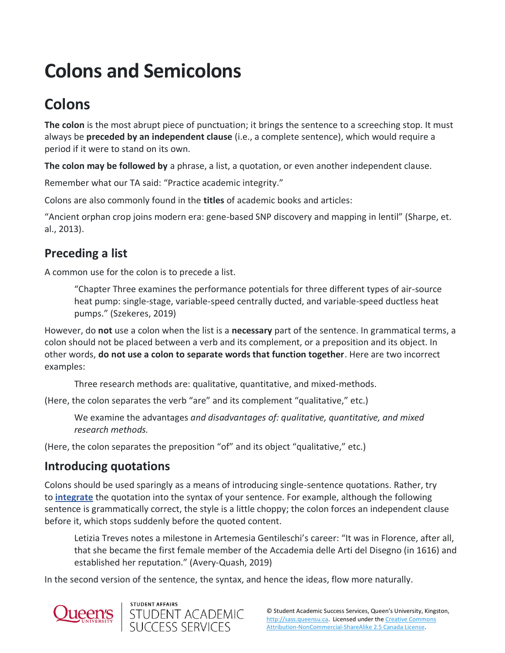# **Colons and Semicolons**

## **Colons**

**The colon** is the most abrupt piece of punctuation; it brings the sentence to a screeching stop. It must always be **preceded by an independent clause** (i.e., a complete sentence), which would require a period if it were to stand on its own.

**The colon may be followed by** a phrase, a list, a quotation, or even another independent clause.

Remember what our TA said: "Practice academic integrity."

Colons are also commonly found in the **titles** of academic books and articles:

"Ancient orphan crop joins modern era: gene-based SNP discovery and mapping in lentil" (Sharpe, et. al., 2013).

### **Preceding a list**

A common use for the colon is to precede a list.

"Chapter Three examines the performance potentials for three different types of air-source heat pump: single-stage, variable-speed centrally ducted, and variable-speed ductless heat pumps." (Szekeres, 2019)

However, do **not** use a colon when the list is a **necessary** part of the sentence. In grammatical terms, a colon should not be placed between a verb and its complement, or a preposition and its object. In other words, **do not use a colon to separate words that function together**. Here are two incorrect examples:

Three research methods are: qualitative, quantitative, and mixed-methods.

(Here, the colon separates the verb "are" and its complement "qualitative," etc.)

We examine the advantages *and disadvantages of: qualitative, quantitative, and mixed research methods.*

(Here, the colon separates the preposition "of" and its object "qualitative," etc.)

#### **Introducing quotations**

Colons should be used sparingly as a means of introducing single-sentence quotations. Rather, try to **[integrate](https://sass.queensu.ca/onlineresource/topics/integrating-sources/)** the quotation into the syntax of your sentence. For example, although the following sentence is grammatically correct, the style is a little choppy; the colon forces an independent clause before it, which stops suddenly before the quoted content.

Letizia Treves notes a milestone in Artemesia Gentileschi's career: "It was in Florence, after all, that she became the first female member of the Accademia delle Arti del Disegno (in 1616) and established her reputation." (Avery-Quash, 2019)

In the second version of the sentence, the syntax, and hence the ideas, flow more naturally.



**STUDENT AFFAIRS** 

STUDENT ACADEMIC<br>SUCCESS SERVICES

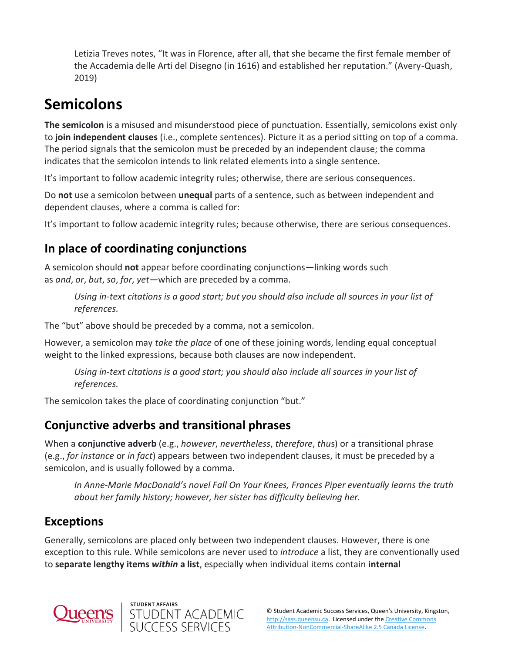Letizia Treves notes, "It was in Florence, after all, that she became the first female member of the Accademia delle Arti del Disegno (in 1616) and established her reputation." (Avery-Quash, 2019)

## **Semicolons**

**The semicolon** is a misused and misunderstood piece of punctuation. Essentially, semicolons exist only to **join independent clauses** (i.e., complete sentences). Picture it as a period sitting on top of a comma. The period signals that the semicolon must be preceded by an independent clause; the comma indicates that the semicolon intends to link related elements into a single sentence.

It's important to follow academic integrity rules; otherwise, there are serious consequences.

Do **not** use a semicolon between **unequal** parts of a sentence, such as between independent and dependent clauses, where a comma is called for:

It's important to follow academic integrity rules; because otherwise, there are serious consequences*.*

### **In place of coordinating conjunctions**

A semicolon should **not** appear before coordinating conjunctions—linking words such as *and*, *or*, *but*, *so*, *for*, *yet—*which are preceded by a comma.

*Using in-text citations is a good start; but you should also include all sources in your list of references.*

The "but" above should be preceded by a comma, not a semicolon.

However, a semicolon may *take the place* of one of these joining words, lending equal conceptual weight to the linked expressions, because both clauses are now independent.

*Using in-text citations is a good start; you should also include all sources in your list of references.*

The semicolon takes the place of coordinating conjunction "but."

### **Conjunctive adverbs and transitional phrases**

When a **conjunctive adverb** (e.g., *however*, *nevertheless*, *therefore*, *thu*s) or a transitional phrase (e.g., *for instance* or *in fact*) appears between two independent clauses, it must be preceded by a semicolon, and is usually followed by a comma.

*In Anne-Marie MacDonald's novel Fall On Your Knees, Frances Piper eventually learns the truth about her family history; however, her sister has difficulty believing her.*

### **Exceptions**

Generally, semicolons are placed only between two independent clauses. However, there is one exception to this rule. While semicolons are never used to *introduce* a list, they are conventionally used to **separate lengthy items** *within* **a list**, especially when individual items contain **internal**